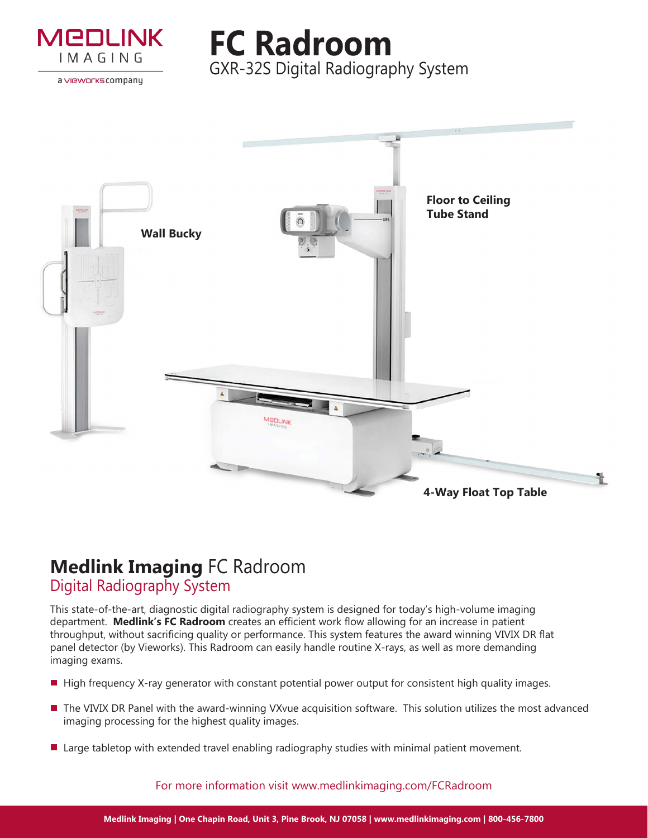

a vieworks company

**FC Radroom** GXR-32S Digital Radiography System



# **Medlink Imaging** FC Radroom Digital Radiography System

This state-of-the-art, diagnostic digital radiography system is designed for today's high-volume imaging department. **Medlink's FC Radroom** creates an efficient work flow allowing for an increase in patient throughput, without sacrificing quality or performance. This system features the award winning VIVIX DR flat panel detector (by Vieworks). This Radroom can easily handle routine X-rays, as well as more demanding imaging exams.

- $\blacksquare$  High frequency X-ray generator with constant potential power output for consistent high quality images.
- The VIVIX DR Panel with the award-winning VXvue acquisition software. This solution utilizes the most advanced imaging processing for the highest quality images.
- **Large tabletop with extended travel enabling radiography studies with minimal patient movement.**

For more information visit www.medlinkimaging.com/FCRadroom